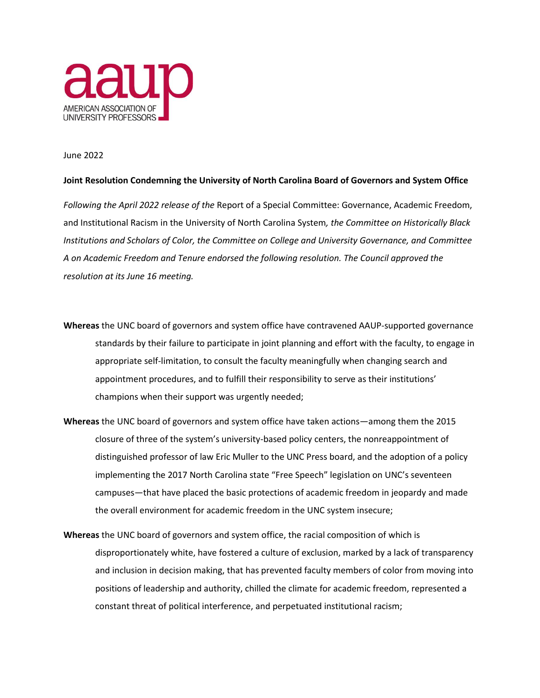

June 2022

## **Joint Resolution Condemning the University of North Carolina Board of Governors and System Office**

*Following the April 2022 release of the* Report of a Special Committee: Governance, Academic Freedom, and Institutional Racism in the University of North Carolina System*, the Committee on Historically Black Institutions and Scholars of Color, the Committee on College and University Governance, and Committee A on Academic Freedom and Tenure endorsed the following resolution. The Council approved the resolution at its June 16 meeting.* 

- **Whereas** the UNC board of governors and system office have contravened AAUP-supported governance standards by their failure to participate in joint planning and effort with the faculty, to engage in appropriate self-limitation, to consult the faculty meaningfully when changing search and appointment procedures, and to fulfill their responsibility to serve as their institutions' champions when their support was urgently needed;
- **Whereas** the UNC board of governors and system office have taken actions—among them the 2015 closure of three of the system's university-based policy centers, the nonreappointment of distinguished professor of law Eric Muller to the UNC Press board, and the adoption of a policy implementing the 2017 North Carolina state "Free Speech" legislation on UNC's seventeen campuses—that have placed the basic protections of academic freedom in jeopardy and made the overall environment for academic freedom in the UNC system insecure;
- **Whereas** the UNC board of governors and system office, the racial composition of which is disproportionately white, have fostered a culture of exclusion, marked by a lack of transparency and inclusion in decision making, that has prevented faculty members of color from moving into positions of leadership and authority, chilled the climate for academic freedom, represented a constant threat of political interference, and perpetuated institutional racism;